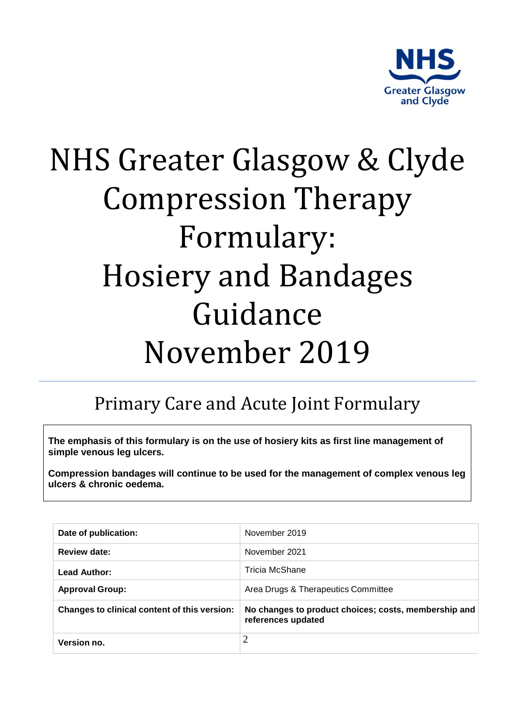

# NHS Greater Glasgow & Clyde Compression Therapy Formulary: Hosiery and Bandages Guidance November 2019

## Primary Care and Acute Joint Formulary

**The emphasis of this formulary is on the use of hosiery kits as first line management of simple venous leg ulcers.**

**Compression bandages will continue to be used for the management of complex venous leg ulcers & chronic oedema.**

| Date of publication:                         | November 2019                                                              |
|----------------------------------------------|----------------------------------------------------------------------------|
| <b>Review date:</b>                          | November 2021                                                              |
| <b>Lead Author:</b>                          | Tricia McShane                                                             |
| <b>Approval Group:</b>                       | Area Drugs & Therapeutics Committee                                        |
| Changes to clinical content of this version: | No changes to product choices; costs, membership and<br>references updated |
| Version no.                                  | 2                                                                          |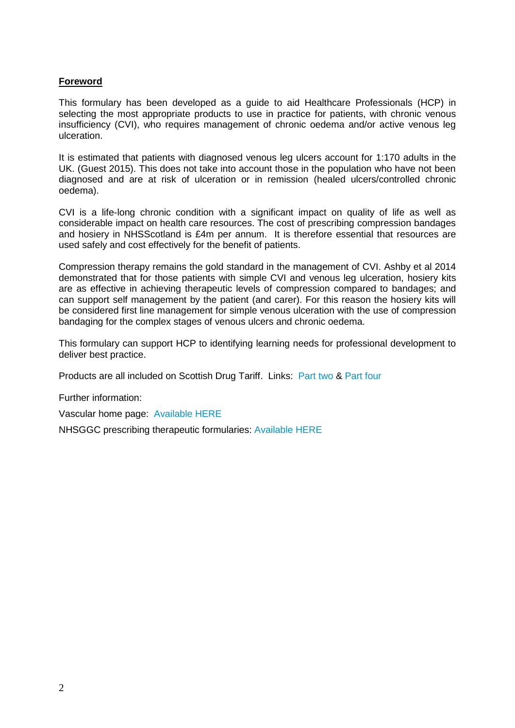#### **Foreword**

This formulary has been developed as a guide to aid Healthcare Professionals (HCP) in selecting the most appropriate products to use in practice for patients, with chronic venous insufficiency (CVI), who requires management of chronic oedema and/or active venous leg ulceration.

It is estimated that patients with diagnosed venous leg ulcers account for 1:170 adults in the UK. (Guest 2015). This does not take into account those in the population who have not been diagnosed and are at risk of ulceration or in remission (healed ulcers/controlled chronic oedema).

CVI is a life-long chronic condition with a significant impact on quality of life as well as considerable impact on health care resources. The cost of prescribing compression bandages and hosiery in NHSScotland is £4m per annum. It is therefore essential that resources are used safely and cost effectively for the benefit of patients.

Compression therapy remains the gold standard in the management of CVI. Ashby et al 2014 demonstrated that for those patients with simple CVI and venous leg ulceration, hosiery kits are as effective in achieving therapeutic levels of compression compared to bandages; and can support self management by the patient (and carer). For this reason the hosiery kits will be considered first line management for simple venous ulceration with the use of compression bandaging for the complex stages of venous ulcers and chronic oedema.

This formulary can support HCP to identifying learning needs for professional development to deliver best practice.

Products are all included on Scottish Drug Tariff. Links: [Part two](http://www.isdscotland.org/Health-Topics/Prescribing-and-Medicines/Scottish-Drug-Tariff/Docs/July-2017/2017-07-SDT-PART-2.pdf) & [Part four](http://www.isdscotland.org/Health-Topics/Prescribing-and-Medicines/Scottish-Drug-Tariff/Docs/June-2017/2017-06-SDT-PART-4.pdf)

Further information:

Vascular home page: [Available HERE](http://www.staffnet.ggc.scot.nhs.uk/Partnerships/Greater%20Glasgow%20and%20Clyde%20Services/Vascular-and-Leg-Ulcer-Services/Pages/VascularandLegUlcerServices.aspx)

NHSGGC prescribing therapeutic formularies: [Available HERE](http://www.ggcprescribing.org.uk/non-medicines-formularies/)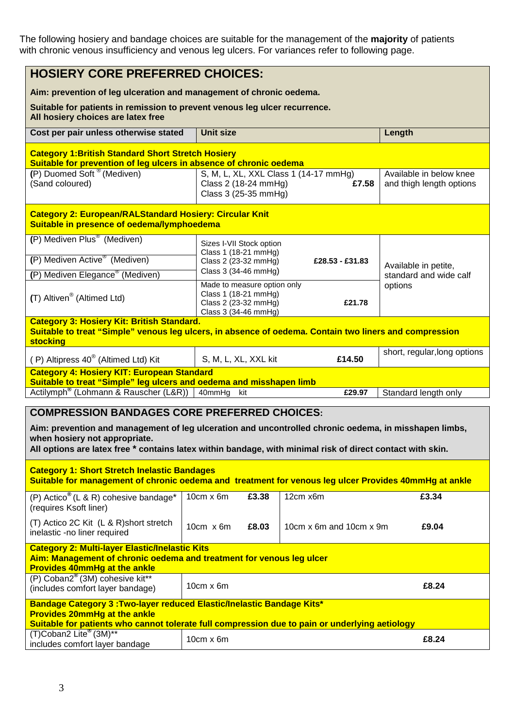The following hosiery and bandage choices are suitable for the management of the **majority** of patients with chronic venous insufficiency and venous leg ulcers. For variances refer to following page.

| <b>HOSIERY CORE PREFERRED CHOICES:</b>                                                                                                                                                                                                                                                                      |                                                                      |                                                |                                                     |
|-------------------------------------------------------------------------------------------------------------------------------------------------------------------------------------------------------------------------------------------------------------------------------------------------------------|----------------------------------------------------------------------|------------------------------------------------|-----------------------------------------------------|
| Aim: prevention of leg ulceration and management of chronic oedema.                                                                                                                                                                                                                                         |                                                                      |                                                |                                                     |
| Suitable for patients in remission to prevent venous leg ulcer recurrence.<br>All hosiery choices are latex free                                                                                                                                                                                            |                                                                      |                                                |                                                     |
| Cost per pair unless otherwise stated                                                                                                                                                                                                                                                                       | <b>Unit size</b>                                                     |                                                | Length                                              |
| <b>Category 1: British Standard Short Stretch Hosiery</b><br>Suitable for prevention of leg ulcers in absence of chronic oedema                                                                                                                                                                             |                                                                      |                                                |                                                     |
| (P) Duomed Soft <sup>®</sup> (Mediven)<br>(Sand coloured)                                                                                                                                                                                                                                                   | Class 2 (18-24 mmHg)<br>Class 3 (25-35 mmHg)                         | S, M, L, XL, XXL Class 1 (14-17 mmHg)<br>£7.58 | Available in below knee<br>and thigh length options |
| <b>Category 2: European/RALStandard Hosiery: Circular Knit</b><br>Suitable in presence of oedema/lymphoedema                                                                                                                                                                                                |                                                                      |                                                |                                                     |
| (P) Mediven Plus <sup>®</sup> (Mediven)                                                                                                                                                                                                                                                                     | Sizes I-VII Stock option                                             |                                                |                                                     |
| (P) Mediven Active <sup>®</sup> (Mediven)                                                                                                                                                                                                                                                                   | Class 1 (18-21 mmHg)<br>Class 2 (23-32 mmHg)                         | £28.53 - £31.83                                | Available in petite,                                |
| (P) Mediven Elegance <sup>®</sup> (Mediven)                                                                                                                                                                                                                                                                 | Class 3 (34-46 mmHg)<br>Made to measure option only                  |                                                | standard and wide calf                              |
| (T) Altiven <sup>®</sup> (Altimed Ltd)                                                                                                                                                                                                                                                                      | Class 1 (18-21 mmHg)<br>Class 2 (23-32 mmHg)<br>Class 3 (34-46 mmHg) | £21.78                                         | options                                             |
| <b>Category 3: Hosiery Kit: British Standard.</b><br>Suitable to treat "Simple" venous leg ulcers, in absence of oedema. Contain two liners and compression<br><b>stocking</b>                                                                                                                              |                                                                      |                                                |                                                     |
| (P) Altipress 40 <sup>®</sup> (Altimed Ltd) Kit                                                                                                                                                                                                                                                             | S, M, L, XL, XXL kit                                                 | £14.50                                         | short, regular, long options                        |
| <b>Category 4: Hosiery KIT: European Standard</b><br>Suitable to treat "Simple" leg ulcers and oedema and misshapen limb                                                                                                                                                                                    |                                                                      |                                                |                                                     |
| Actilymph <sup>®</sup> (Lohmann & Rauscher (L&R))                                                                                                                                                                                                                                                           | $40$ mmHg<br>kit                                                     | £29.97                                         | Standard length only                                |
| <b>COMPRESSION BANDAGES CORE PREFERRED CHOICES:</b><br>Aim: prevention and management of leg ulceration and uncontrolled chronic oedema, in misshapen limbs,<br>when hosiery not appropriate.<br>All options are latex free * contains latex within bandage, with minimal risk of direct contact with skin. |                                                                      |                                                |                                                     |
| <b>Category 1: Short Stretch Inelastic Bandages</b><br>Suitable for management of chronic oedema and treatment for venous leg ulcer Provides 40mmHg at ankle                                                                                                                                                |                                                                      |                                                |                                                     |
| (P) Actico <sup>®</sup> (L & R) cohesive bandage*<br>(requires Ksoft liner)                                                                                                                                                                                                                                 | $10cm \times 6m$<br>£3.38                                            | 12cm x6m                                       | £3.34                                               |
| (T) Actico 2C Kit (L & R)short stretch<br>inelastic -no liner required                                                                                                                                                                                                                                      | 10 $cm \times 6m$<br>£8.03                                           | 10cm x 6m and 10cm x 9m                        | £9.04                                               |
| <b>Category 2: Multi-layer Elastic/Inelastic Kits</b><br>Aim: Management of chronic oedema and treatment for venous leg ulcer<br><b>Provides 40mmHg at the ankle</b>                                                                                                                                        |                                                                      |                                                |                                                     |
| (P) Coban2 <sup>®</sup> (3M) cohesive kit**<br>(includes comfort layer bandage)                                                                                                                                                                                                                             | $10cm \times 6m$                                                     |                                                | £8.24                                               |
| Bandage Category 3: Two-layer reduced Elastic/Inelastic Bandage Kits*<br><b>Provides 20mmHg at the ankle</b><br>Suitable for patients who cannot tolerate full compression due to pain or underlying aetiology                                                                                              |                                                                      |                                                |                                                     |
| (T)Coban2 Lite <sup>®</sup> (3M)**<br>includes comfort layer bandage                                                                                                                                                                                                                                        | 10cm x 6m                                                            |                                                | £8.24                                               |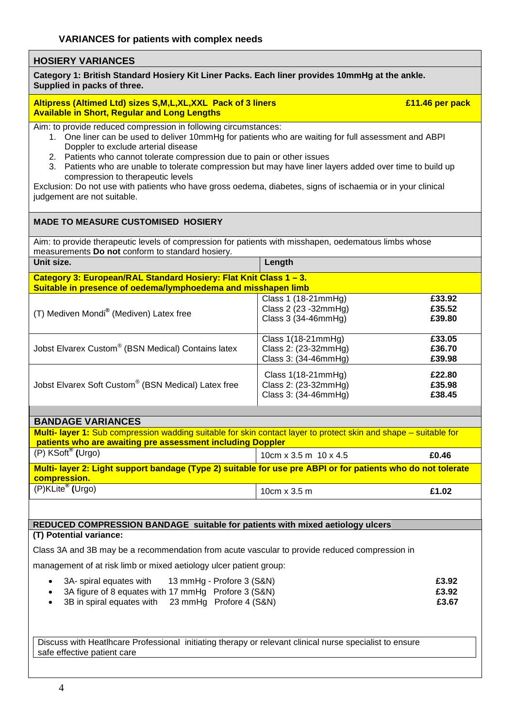#### **HOSIERY VARIANCES**

**Category 1: British Standard Hosiery Kit Liner Packs. Each liner provides 10mmHg at the ankle. Supplied in packs of three.** 

#### **Altipress (Altimed Ltd) sizes S,M,L,XL,XXL Pack of 3 liners £11.46 per pack Available in Short, Regular and Long Lengths**

Aim: to provide reduced compression in following circumstances:

- 1. One liner can be used to deliver 10mmHg for patients who are waiting for full assessment and ABPI Doppler to exclude arterial disease
- 2. Patients who cannot tolerate compression due to pain or other issues
- 3. Patients who are unable to tolerate compression but may have liner layers added over time to build up compression to therapeutic levels

Exclusion: Do not use with patients who have gross oedema, diabetes, signs of ischaemia or in your clinical judgement are not suitable.

#### **MADE TO MEASURE CUSTOMISED HOSIERY**

Aim: to provide therapeutic levels of compression for patients with misshapen, oedematous limbs whose measurements **Do not** conform to standard hosiery. **Unit size.** Length

**Category 3: European/RAL Standard Hosiery: Flat Knit Class 1 – 3. Suitable in presence of oedema/lymphoedema and misshapen limb**

| (T) Mediven Mondi <sup>®</sup> (Mediven) Latex free | Class 1 (18-21mmHg)<br>Class 2 (23 - 32mm Hg)<br>Class 3 (34-46mmHg) | £33.92<br>£35.52<br>£39.80 |
|-----------------------------------------------------|----------------------------------------------------------------------|----------------------------|
| Jobst Elvarex Custom® (BSN Medical) Contains latex  | Class $1(18-21mmHg)$<br>Class 2: (23-32mmHg)<br>Class 3: (34-46mmHg) | £33.05<br>£36.70<br>£39.98 |
| Jobst Elvarex Soft Custom® (BSN Medical) Latex free | Class $1(18-21mmHg)$<br>Class 2: (23-32mmHg)<br>Class 3: (34-46mmHg) | £22.80<br>£35.98<br>£38.45 |

| <b>BANDAGE VARIANCES</b>                                                                                                                                                              |                           |       |  |
|---------------------------------------------------------------------------------------------------------------------------------------------------------------------------------------|---------------------------|-------|--|
| <b>Multi- layer 1:</b> Sub compression wadding suitable for skin contact layer to protect skin and shape – suitable for<br>patients who are awaiting pre assessment including Doppler |                           |       |  |
| $(P)$ KSoft <sup>®</sup> (Urgo)                                                                                                                                                       | 10cm $x$ 3.5 m 10 $x$ 4.5 | £0.46 |  |
| Multi-layer 2: Light support bandage (Type 2) suitable for use pre ABPI or for patients who do not tolerate<br>compression.                                                           |                           |       |  |
| $\sqrt{(P)KLite^{\otimes} (Urgo)}$                                                                                                                                                    | 10 $cm \times 3.5$ m      | £1.02 |  |

#### **REDUCED COMPRESSION BANDAGE suitable for patients with mixed aetiology ulcers**

#### **(T) Potential variance:**

Class 3A and 3B may be a recommendation from acute vascular to provide reduced compression in

management of at risk limb or mixed aetiology ulcer patient group:

| $\bullet$ 3A- spiral equates with                             | 13 mmHg - Profore 3 (S&N) | £3.92 |
|---------------------------------------------------------------|---------------------------|-------|
| • 3A figure of 8 equates with 17 mmHg Profore 3 (S&N)         |                           | £3.92 |
| • 3B in spiral equates with $23 \text{ mmHg}$ Profore 4 (S&N) |                           | £3.67 |

Discuss with Heatlhcare Professional initiating therapy or relevant clinical nurse specialist to ensure safe effective patient care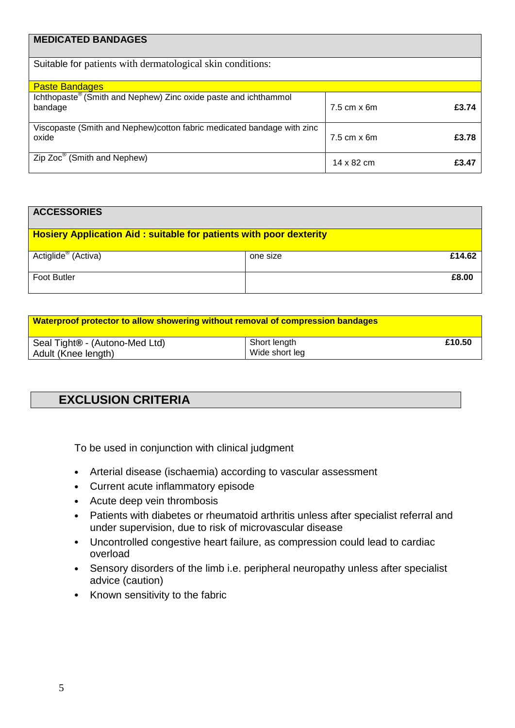| <b>MEDICATED BANDAGES</b>                                                              |                      |       |
|----------------------------------------------------------------------------------------|----------------------|-------|
| Suitable for patients with dermatological skin conditions:                             |                      |       |
| <b>Paste Bandages</b>                                                                  |                      |       |
| Ichthopaste <sup>®</sup> (Smith and Nephew) Zinc oxide paste and ichthammol<br>bandage | $7.5$ cm $\times$ 6m | £3.74 |
| Viscopaste (Smith and Nephew) cotton fabric medicated bandage with zinc<br>oxide       | $7.5$ cm $\times$ 6m | £3.78 |
| Zip Zoc <sup>®</sup> (Smith and Nephew)                                                | 14 x 82 cm           | £3.47 |

| <b>ACCESSORIES</b>                                                        |          |        |
|---------------------------------------------------------------------------|----------|--------|
| <b>Hosiery Application Aid: suitable for patients with poor dexterity</b> |          |        |
| Actiglide <sup>®</sup> (Activa)                                           | one size | £14.62 |
| <b>Foot Butler</b>                                                        |          | £8.00  |

| Waterproof protector to allow showering without removal of compression bandages |                |        |
|---------------------------------------------------------------------------------|----------------|--------|
| Seal Tight® - (Autono-Med Ltd)                                                  | Short length   | £10.50 |
| Adult (Knee length)                                                             | Wide short leg |        |

## **EXCLUSION CRITERIA**

To be used in conjunction with clinical judgment

- Arterial disease (ischaemia) according to vascular assessment
- Current acute inflammatory episode
- Acute deep vein thrombosis
- Patients with diabetes or rheumatoid arthritis unless after specialist referral and under supervision, due to risk of microvascular disease
- Uncontrolled congestive heart failure, as compression could lead to cardiac overload
- Sensory disorders of the limb i.e. peripheral neuropathy unless after specialist advice (caution)
- Known sensitivity to the fabric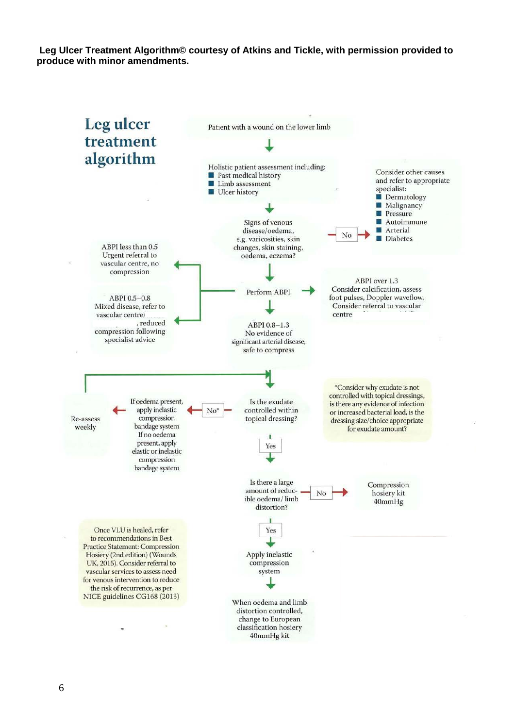**Leg Ulcer Treatment Algorithm© courtesy of Atkins and Tickle, with permission provided to produce with minor amendments.**

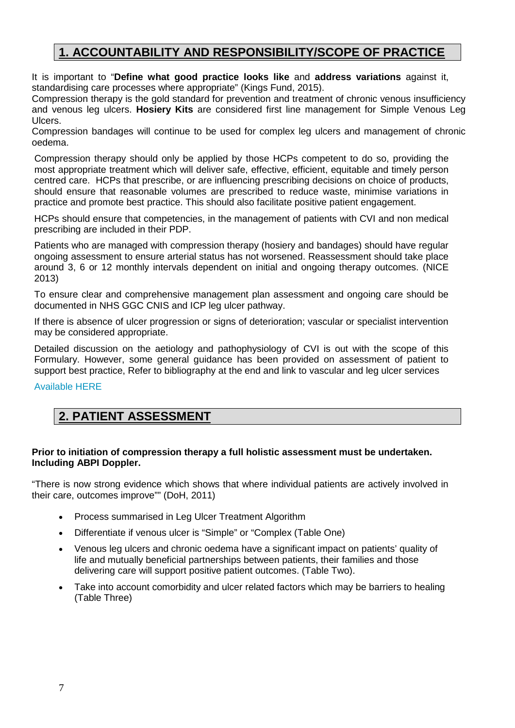## **1. ACCOUNTABILITY AND RESPONSIBILITY/SCOPE OF PRACTICE**

It is important to "**Define what good practice looks like** and **address variations** against it, standardising care processes where appropriate" [\(](http://www.ggcprescribing.org.uk/blog/ensure-safe-and-appropriate-use-antibiotics/)Kings Fund, 2015).

Compression therapy is the gold standard for prevention and treatment of chronic venous insufficiency and venous leg ulcers. **Hosiery Kits** are considered first line management for Simple Venous Leg Ulcers.

Compression bandages will continue to be used for complex leg ulcers and management of chronic oedema.

Compression therapy should only be applied by those HCPs competent to do so, providing the most appropriate treatment which will deliver safe, effective, efficient, equitable and timely person centred care. HCPs that prescribe, or are influencing prescribing decisions on choice of products, should ensure that reasonable volumes are prescribed to reduce waste, minimise variations in practice and promote best practice. This should also facilitate positive patient engagement.

HCPs should ensure that competencies, in the management of patients with CVI and non medical prescribing are included in their PDP.

Patients who are managed with compression therapy (hosiery and bandages) should have regular ongoing assessment to ensure arterial status has not worsened. Reassessment should take place around 3, 6 or 12 monthly intervals dependent on initial and ongoing therapy outcomes. (NICE 2013)

To ensure clear and comprehensive management plan assessment and ongoing care should be documented in NHS GGC CNIS and ICP leg ulcer pathway.

If there is absence of ulcer progression or signs of deterioration; vascular or specialist intervention may be considered appropriate.

Detailed discussion on the aetiology and pathophysiology of CVI is out with the scope of this Formulary. However, some general guidance has been provided on assessment of patient to support best practice, Refer to bibliography at the end and link to vascular and leg ulcer services

[Available HERE](http://www.staffnet.ggc.scot.nhs.uk/Partnerships/Greater%20Glasgow%20and%20Clyde%20Services/Vascular-and-Leg-Ulcer-Services/Pages/VascularandLegUlcerServices.aspx)

## **2. PATIENT ASSESSMENT**

#### **Prior to initiation of compression therapy a full holistic assessment must be undertaken. Including ABPI Doppler.**

"There is now strong evidence which shows that where individual patients are actively involved in their care, outcomes improve"" (DoH, 2011)

- Process summarised in Leg Ulcer Treatment Algorithm
- Differentiate if venous ulcer is "Simple" or "Complex (Table One)
- Venous leg ulcers and chronic oedema have a significant impact on patients' quality of life and mutually beneficial partnerships between patients, their families and those delivering care will support positive patient outcomes. (Table Two).
- Take into account comorbidity and ulcer related factors which may be barriers to healing (Table Three)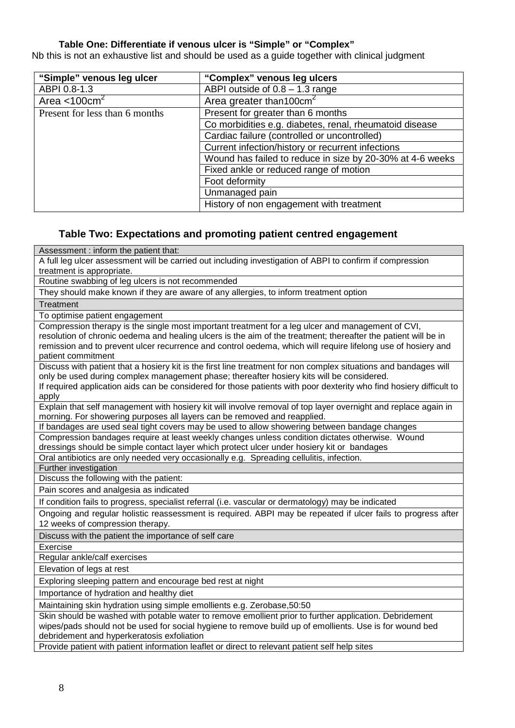#### **Table One: Differentiate if venous ulcer is "Simple" or "Complex"**

Nb this is not an exhaustive list and should be used as a guide together with clinical judgment

| "Simple" venous leg ulcer      | "Complex" venous leg ulcers                               |
|--------------------------------|-----------------------------------------------------------|
| ABPI 0.8-1.3                   | ABPI outside of $0.8 - 1.3$ range                         |
| Area $<$ 100 $cm2$             | Area greater than 100cm <sup>2</sup>                      |
| Present for less than 6 months | Present for greater than 6 months                         |
|                                | Co morbidities e.g. diabetes, renal, rheumatoid disease   |
|                                | Cardiac failure (controlled or uncontrolled)              |
|                                | Current infection/history or recurrent infections         |
|                                | Wound has failed to reduce in size by 20-30% at 4-6 weeks |
|                                | Fixed ankle or reduced range of motion                    |
|                                | Foot deformity                                            |
|                                | Unmanaged pain                                            |
|                                | History of non engagement with treatment                  |

#### **Table Two: Expectations and promoting patient centred engagement**

Assessment : inform the patient that: A full leg ulcer assessment will be carried out including investigation of ABPI to confirm if compression treatment is appropriate. Routine swabbing of leg ulcers is not recommended They should make known if they are aware of any allergies, to inform treatment option **Treatment** To optimise patient engagement Compression therapy is the single most important treatment for a leg ulcer and management of CVI, resolution of chronic oedema and healing ulcers is the aim of the treatment; thereafter the patient will be in remission and to prevent ulcer recurrence and control oedema, which will require lifelong use of hosiery and patient commitment Discuss with patient that a hosiery kit is the first line treatment for non complex situations and bandages will only be used during complex management phase; thereafter hosiery kits will be considered. If required application aids can be considered for those patients with poor dexterity who find hosiery difficult to apply Explain that self management with hosiery kit will involve removal of top layer overnight and replace again in morning. For showering purposes all layers can be removed and reapplied. If bandages are used seal tight covers may be used to allow showering between bandage changes Compression bandages require at least weekly changes unless condition dictates otherwise. Wound dressings should be simple contact layer which protect ulcer under hosiery kit or bandages Oral antibiotics are only needed very occasionally e.g. Spreading cellulitis, infection. Further investigation Discuss the following with the patient: Pain scores and analgesia as indicated If condition fails to progress, specialist referral (i.e. vascular or dermatology) may be indicated Ongoing and regular holistic reassessment is required. ABPI may be repeated if ulcer fails to progress after 12 weeks of compression therapy. Discuss with the patient the importance of self care Exercise Regular ankle/calf exercises Elevation of legs at rest Exploring sleeping pattern and encourage bed rest at night Importance of hydration and healthy diet Maintaining skin hydration using simple emollients e.g. Zerobase,50:50 Skin should be washed with potable water to remove emollient prior to further application. Debridement wipes/pads should not be used for social hygiene to remove build up of emollients. Use is for wound bed debridement and hyperkeratosis exfoliation

Provide patient with patient information leaflet or direct to relevant patient self help sites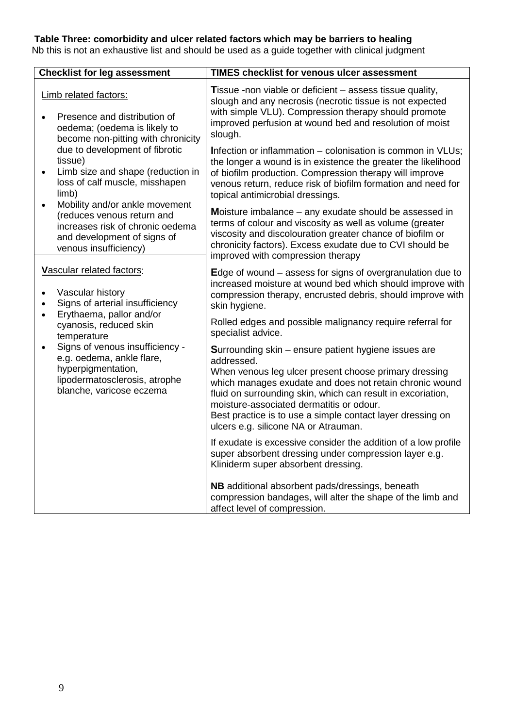#### **Table Three: comorbidity and ulcer related factors which may be barriers to healing**

Nb this is not an exhaustive list and should be used as a guide together with clinical judgment

| <b>Checklist for leg assessment</b>                                                                                                                                   | <b>TIMES checklist for venous ulcer assessment</b>                                                                                                                                                                                                                                                                                                                                                             |
|-----------------------------------------------------------------------------------------------------------------------------------------------------------------------|----------------------------------------------------------------------------------------------------------------------------------------------------------------------------------------------------------------------------------------------------------------------------------------------------------------------------------------------------------------------------------------------------------------|
| Limb related factors:<br>Presence and distribution of<br>$\bullet$<br>oedema; (oedema is likely to<br>become non-pitting with chronicity                              | Tissue -non viable or deficient – assess tissue quality,<br>slough and any necrosis (necrotic tissue is not expected<br>with simple VLU). Compression therapy should promote<br>improved perfusion at wound bed and resolution of moist<br>slough.                                                                                                                                                             |
| due to development of fibrotic<br>tissue)<br>Limb size and shape (reduction in<br>$\bullet$<br>loss of calf muscle, misshapen<br>limb)                                | Infection or inflammation - colonisation is common in VLUs;<br>the longer a wound is in existence the greater the likelihood<br>of biofilm production. Compression therapy will improve<br>venous return, reduce risk of biofilm formation and need for<br>topical antimicrobial dressings.                                                                                                                    |
| Mobility and/or ankle movement<br>$\bullet$<br>(reduces venous return and<br>increases risk of chronic oedema<br>and development of signs of<br>venous insufficiency) | Moisture imbalance $-$ any exudate should be assessed in<br>terms of colour and viscosity as well as volume (greater<br>viscosity and discolouration greater chance of biofilm or<br>chronicity factors). Excess exudate due to CVI should be<br>improved with compression therapy                                                                                                                             |
| Vascular related factors:<br>Vascular history<br>$\bullet$<br>Signs of arterial insufficiency<br>$\bullet$                                                            | Edge of wound $-$ assess for signs of overgranulation due to<br>increased moisture at wound bed which should improve with<br>compression therapy, encrusted debris, should improve with<br>skin hygiene.                                                                                                                                                                                                       |
| Erythaema, pallor and/or<br>$\bullet$<br>cyanosis, reduced skin<br>temperature                                                                                        | Rolled edges and possible malignancy require referral for<br>specialist advice.                                                                                                                                                                                                                                                                                                                                |
| Signs of venous insufficiency -<br>$\bullet$<br>e.g. oedema, ankle flare,<br>hyperpigmentation,<br>lipodermatosclerosis, atrophe<br>blanche, varicose eczema          | <b>Surrounding skin – ensure patient hygiene issues are</b><br>addressed.<br>When venous leg ulcer present choose primary dressing<br>which manages exudate and does not retain chronic wound<br>fluid on surrounding skin, which can result in excoriation,<br>moisture-associated dermatitis or odour.<br>Best practice is to use a simple contact layer dressing on<br>ulcers e.g. silicone NA or Atrauman. |
|                                                                                                                                                                       | If exudate is excessive consider the addition of a low profile<br>super absorbent dressing under compression layer e.g.<br>Kliniderm super absorbent dressing.                                                                                                                                                                                                                                                 |
|                                                                                                                                                                       | NB additional absorbent pads/dressings, beneath<br>compression bandages, will alter the shape of the limb and<br>affect level of compression.                                                                                                                                                                                                                                                                  |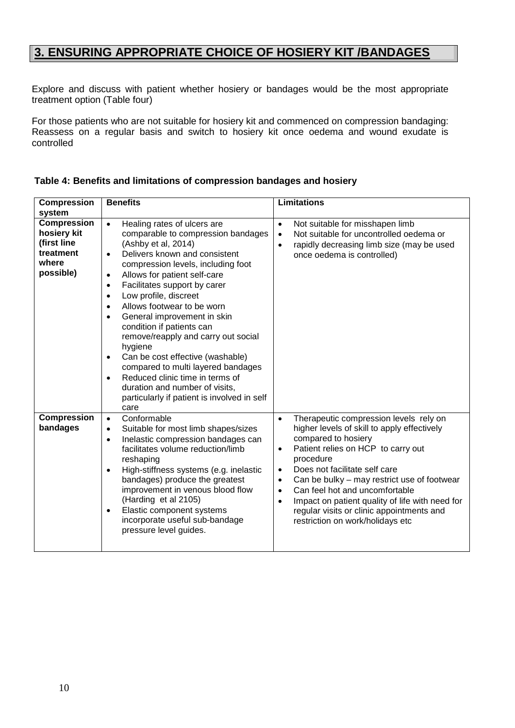## **3. ENSURING APPROPRIATE CHOICE OF HOSIERY KIT /BANDAGES**

Explore and discuss with patient whether hosiery or bandages would be the most appropriate treatment option (Table four)

For those patients who are not suitable for hosiery kit and commenced on compression bandaging: Reassess on a regular basis and switch to hosiery kit once oedema and wound exudate is controlled

| <b>Compression</b>                                                                  | <b>Benefits</b>                                                                                                                                                                                                                                                                                                                                                                                                                                                                                                                                                                                                                                                                                       | <b>Limitations</b>                                                                                                                                                                                                                                                                                                                                                                                                                                                                                  |
|-------------------------------------------------------------------------------------|-------------------------------------------------------------------------------------------------------------------------------------------------------------------------------------------------------------------------------------------------------------------------------------------------------------------------------------------------------------------------------------------------------------------------------------------------------------------------------------------------------------------------------------------------------------------------------------------------------------------------------------------------------------------------------------------------------|-----------------------------------------------------------------------------------------------------------------------------------------------------------------------------------------------------------------------------------------------------------------------------------------------------------------------------------------------------------------------------------------------------------------------------------------------------------------------------------------------------|
| system                                                                              |                                                                                                                                                                                                                                                                                                                                                                                                                                                                                                                                                                                                                                                                                                       |                                                                                                                                                                                                                                                                                                                                                                                                                                                                                                     |
| <b>Compression</b><br>hosiery kit<br>(first line<br>treatment<br>where<br>possible) | Healing rates of ulcers are<br>$\bullet$<br>comparable to compression bandages<br>(Ashby et al, 2014)<br>Delivers known and consistent<br>$\bullet$<br>compression levels, including foot<br>Allows for patient self-care<br>Facilitates support by carer<br>$\bullet$<br>Low profile, discreet<br>$\bullet$<br>Allows footwear to be worn<br>$\bullet$<br>General improvement in skin<br>$\bullet$<br>condition if patients can<br>remove/reapply and carry out social<br>hygiene<br>Can be cost effective (washable)<br>$\bullet$<br>compared to multi layered bandages<br>Reduced clinic time in terms of<br>duration and number of visits,<br>particularly if patient is involved in self<br>care | Not suitable for misshapen limb<br>$\bullet$<br>Not suitable for uncontrolled oedema or<br>$\bullet$<br>rapidly decreasing limb size (may be used<br>$\bullet$<br>once oedema is controlled)                                                                                                                                                                                                                                                                                                        |
| <b>Compression</b><br>bandages                                                      | Conformable<br>$\bullet$<br>Suitable for most limb shapes/sizes<br>$\bullet$<br>Inelastic compression bandages can<br>$\bullet$<br>facilitates volume reduction/limb<br>reshaping<br>High-stiffness systems (e.g. inelastic<br>$\bullet$<br>bandages) produce the greatest<br>improvement in venous blood flow<br>(Harding et al 2105)<br>Elastic component systems<br>$\bullet$<br>incorporate useful sub-bandage<br>pressure level guides.                                                                                                                                                                                                                                                          | Therapeutic compression levels rely on<br>$\bullet$<br>higher levels of skill to apply effectively<br>compared to hosiery<br>Patient relies on HCP to carry out<br>$\bullet$<br>procedure<br>Does not facilitate self care<br>$\bullet$<br>Can be bulky – may restrict use of footwear<br>$\bullet$<br>Can feel hot and uncomfortable<br>$\bullet$<br>Impact on patient quality of life with need for<br>$\bullet$<br>regular visits or clinic appointments and<br>restriction on work/holidays etc |

#### **Table 4: Benefits and limitations of compression bandages and hosiery**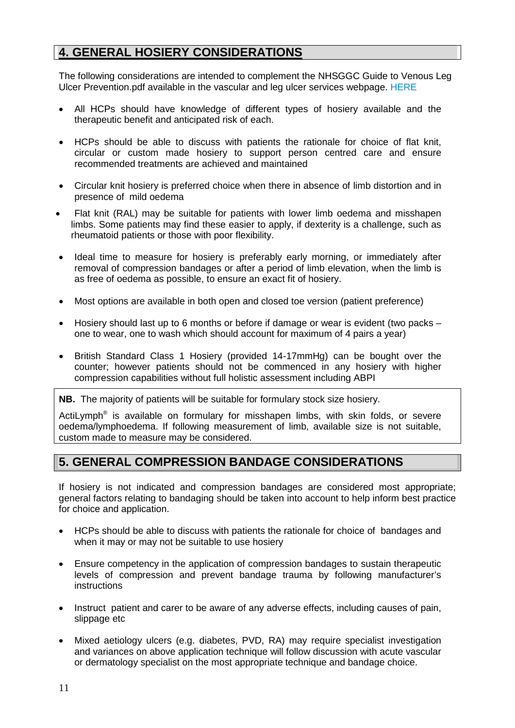## **4. GENERAL HOSIERY CONSIDERATIONS**

The following considerations are intended to complement the NHSGGC Guide to Venous Leg Ulcer Prevention.pdf available in the vascular and leg ulcer services webpage. [HERE](http://www.staffnet.ggc.scot.nhs.uk/Partnerships/Greater%20Glasgow%20and%20Clyde%20Services/Vascular-and-Leg-Ulcer-Services/Pages/VascularandLegUlcerServices.aspx)

- All HCPs should have knowledge of different types of hosiery available and the therapeutic benefit and anticipated risk of each.
- HCPs should be able to discuss with patients the rationale for choice of flat knit, circular or custom made hosiery to support person centred care and ensure recommended treatments are achieved and maintained
- Circular knit hosiery is preferred choice when there in absence of limb distortion and in presence of mild oedema
- Flat knit (RAL) may be suitable for patients with lower limb oedema and misshapen limbs. Some patients may find these easier to apply, if dexterity is a challenge, such as rheumatoid patients or those with poor flexibility.
- Ideal time to measure for hosiery is preferably early morning, or immediately after removal of compression bandages or after a period of limb elevation, when the limb is as free of oedema as possible, to ensure an exact fit of hosiery.
- Most options are available in both open and closed toe version (patient preference)
- Hosiery should last up to 6 months or before if damage or wear is evident (two packs one to wear, one to wash which should account for maximum of 4 pairs a year)
- British Standard Class 1 Hosiery (provided 14-17mmHg) can be bought over the counter; however patients should not be commenced in any hosiery with higher compression capabilities without full holistic assessment including ABPI

**NB.** The majority of patients will be suitable for formulary stock size hosiery.

ActiLymph<sup>®</sup> is available on formulary for misshapen limbs, with skin folds, or severe oedema/lymphoedema. If following measurement of limb, available size is not suitable, custom made to measure may be considered.

### **5. GENERAL COMPRESSION BANDAGE CONSIDERATIONS**

If hosiery is not indicated and compression bandages are considered most appropriate; general factors relating to bandaging should be taken into account to help inform best practice for choice and application.

- HCPs should be able to discuss with patients the rationale for choice of bandages and when it may or may not be suitable to use hosiery
- Ensure competency in the application of compression bandages to sustain therapeutic levels of compression and prevent bandage trauma by following manufacturer's instructions
- Instruct patient and carer to be aware of any adverse effects, including causes of pain, slippage etc
- Mixed aetiology ulcers (e.g. diabetes, PVD, RA) may require specialist investigation and variances on above application technique will follow discussion with acute vascular or dermatology specialist on the most appropriate technique and bandage choice.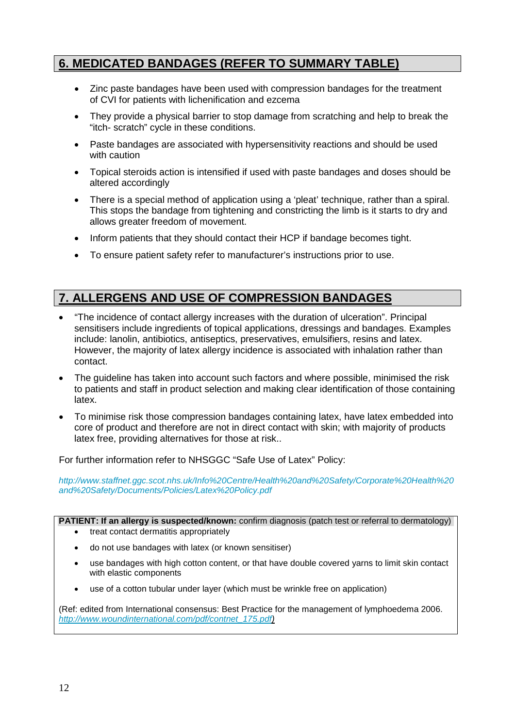## **6. MEDICATED BANDAGES (REFER TO SUMMARY TABLE)**

- Zinc paste bandages have been used with compression bandages for the treatment of CVI for patients with lichenification and ezcema
- They provide a physical barrier to stop damage from scratching and help to break the "itch- scratch" cycle in these conditions.
- Paste bandages are associated with hypersensitivity reactions and should be used with caution
- Topical steroids action is intensified if used with paste bandages and doses should be altered accordingly
- There is a special method of application using a 'pleat' technique, rather than a spiral. This stops the bandage from tightening and constricting the limb is it starts to dry and allows greater freedom of movement.
- Inform patients that they should contact their HCP if bandage becomes tight.
- To ensure patient safety refer to manufacturer's instructions prior to use.

## **7. ALLERGENS AND USE OF COMPRESSION BANDAGES**

- "The incidence of contact allergy increases with the duration of ulceration". Principal sensitisers include ingredients of topical applications, dressings and bandages. Examples include: lanolin, antibiotics, antiseptics, preservatives, emulsifiers, resins and latex. However, the majority of latex allergy incidence is associated with inhalation rather than contact.
- The guideline has taken into account such factors and where possible, minimised the risk to patients and staff in product selection and making clear identification of those containing latex.
- To minimise risk those compression bandages containing latex, have latex embedded into core of product and therefore are not in direct contact with skin; with majority of products latex free, providing alternatives for those at risk..

For further information refer to NHSGGC "Safe Use of Latex" Policy:

*[http://www.staffnet.ggc.scot.nhs.uk/Info%20Centre/Health%20and%20Safety/Corporate%20Health%20](http://www.staffnet.ggc.scot.nhs.uk/Info%20Centre/Health%20and%20Safety/Corporate%20Health%20and%20Safety/Documents/Policies/Latex%20Policy.pdf) [and%20Safety/Documents/Policies/Latex%20Policy.pdf](http://www.staffnet.ggc.scot.nhs.uk/Info%20Centre/Health%20and%20Safety/Corporate%20Health%20and%20Safety/Documents/Policies/Latex%20Policy.pdf)*

**PATIENT: If an allergy is suspected/known:** confirm diagnosis (patch test or referral to dermatology)

- treat contact dermatitis appropriately
- do not use bandages with latex (or known sensitiser)
- use bandages with high cotton content, or that have double covered yarns to limit skin contact with elastic components
- use of a cotton tubular under layer (which must be wrinkle free on application)

(Ref: edited from International consensus: Best Practice for the management of lymphoedema 2006. *[http://www.woundinternational.com/pdf/contnet\\_175.pdf\)](http://www.woundinternational.com/pdf/contnet_175.pdf)*